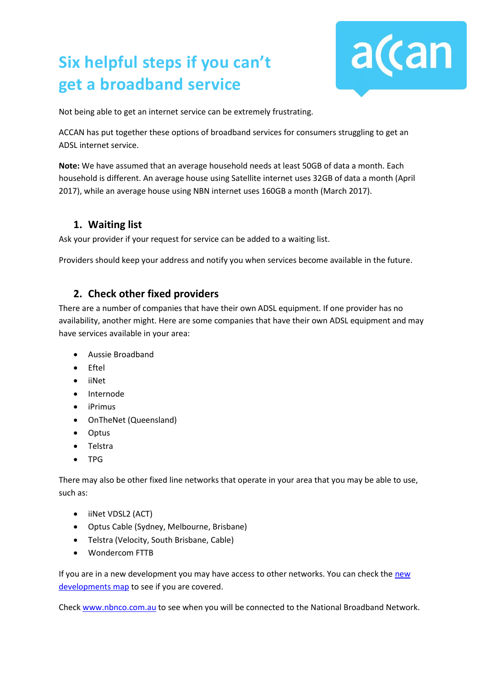# **Six helpful steps if you can't get a broadband service**



Not being able to get an internet service can be extremely frustrating.

ACCAN has put together these options of broadband services for consumers struggling to get an ADSL internet service.

**Note:** We have assumed that an average household needs at least 50GB of data a month. Each household is different. An average house using Satellite internet uses 32GB of data a month (April 2017), while an average house using NBN internet uses 160GB a month (March 2017).

#### **1. Waiting list**

Ask your provider if your request for service can be added to a waiting list.

Providers should keep your address and notify you when services become available in the future.

#### **2. Check other fixed providers**

There are a number of companies that have their own ADSL equipment. If one provider has no availability, another might. Here are some companies that have their own ADSL equipment and may have services available in your area:

- Aussie Broadband
- Eftel
- iiNet
- Internode
- iPrimus
- OnTheNet (Queensland)
- Optus
- Telstra
- TPG

There may also be other fixed line networks that operate in your area that you may be able to use, such as:

- iiNet VDSL2 (ACT)
- Optus Cable (Sydney, Melbourne, Brisbane)
- Telstra (Velocity, South Brisbane, Cable)
- Wondercom FTTB

If you are in a new development you may have access to other networks. You can check th[e new](https://www.nationalmap.gov.au/#share=s-pAUtMPlFQCSwV4qYdRCUE4t8sAt)  [developments map](https://www.nationalmap.gov.au/#share=s-pAUtMPlFQCSwV4qYdRCUE4t8sAt) to see if you are covered.

Check [www.nbnco.com.au](http://www.nbnco.com.au/) to see when you will be connected to the National Broadband Network.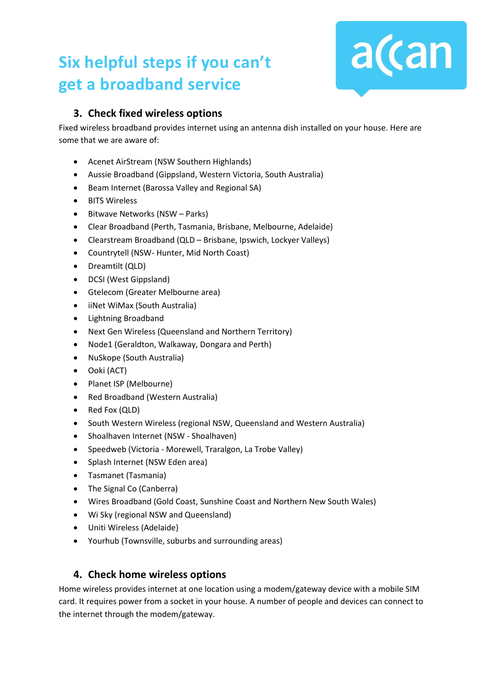## **Six helpful steps if you can't get a broadband service**



### **3. Check fixed wireless options**

Fixed wireless broadband provides internet using an antenna dish installed on your house. Here are some that we are aware of:

- Acenet AirStream (NSW Southern Highlands)
- Aussie Broadband (Gippsland, Western Victoria, South Australia)
- Beam Internet (Barossa Valley and Regional SA)
- BITS Wireless
- Bitwave Networks (NSW Parks)
- Clear Broadband (Perth, Tasmania, Brisbane, Melbourne, Adelaide)
- Clearstream Broadband (QLD Brisbane, Ipswich, Lockyer Valleys)
- Countrytell (NSW- Hunter, Mid North Coast)
- Dreamtilt (QLD)
- DCSI (West Gippsland)
- Gtelecom (Greater Melbourne area)
- iiNet WiMax (South Australia)
- Lightning Broadband
- Next Gen Wireless (Queensland and Northern Territory)
- Node1 (Geraldton, Walkaway, Dongara and Perth)
- NuSkope (South Australia)
- Ooki (ACT)
- Planet ISP (Melbourne)
- Red Broadband (Western Australia)
- Red Fox (QLD)
- South Western Wireless (regional NSW, Queensland and Western Australia)
- Shoalhaven Internet (NSW Shoalhaven)
- Speedweb (Victoria Morewell, Traralgon, La Trobe Valley)
- Splash Internet (NSW Eden area)
- Tasmanet (Tasmania)
- The Signal Co (Canberra)
- Wires Broadband (Gold Coast, Sunshine Coast and Northern New South Wales)
- Wi Sky (regional NSW and Queensland)
- Uniti Wireless (Adelaide)
- Yourhub (Townsville, suburbs and surrounding areas)

#### **4. Check home wireless options**

Home wireless provides internet at one location using a modem/gateway device with a mobile SIM card. It requires power from a socket in your house. A number of people and devices can connect to the internet through the modem/gateway.